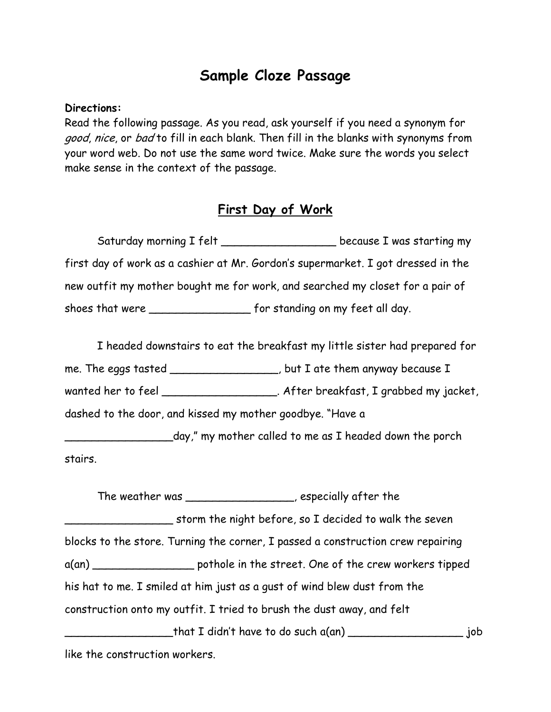## **Sample Cloze Passage**

## **Directions:**

Read the following passage. As you read, ask yourself if you need a synonym for good, nice, or bad to fill in each blank. Then fill in the blanks with synonyms from your word web. Do not use the same word twice. Make sure the words you select make sense in the context of the passage.

## **First Day of Work**

Saturday morning I felt \_\_\_\_\_\_\_\_\_\_\_\_\_\_\_\_\_\_\_\_\_ because I was starting my first day of work as a cashier at Mr. Gordon's supermarket. I got dressed in the new outfit my mother bought me for work, and searched my closet for a pair of shoes that were \_\_\_\_\_\_\_\_\_\_\_\_\_\_\_ for standing on my feet all day.

I headed downstairs to eat the breakfast my little sister had prepared for me. The eggs tasted \_\_\_\_\_\_\_\_\_\_\_\_\_\_\_\_, but I ate them anyway because I wanted her to feel \_\_\_\_\_\_\_\_\_\_\_\_\_\_\_\_\_\_\_. After breakfast, I grabbed my jacket, dashed to the door, and kissed my mother goodbye. "Have a \_\_\_\_\_\_\_\_\_\_\_\_\_\_\_\_day," my mother called to me as I headed down the porch stairs.

The weather was \_\_\_\_\_\_\_\_\_\_\_\_\_\_\_\_, especially after the \_\_\_\_\_\_\_\_\_\_\_\_\_\_\_\_ storm the night before, so I decided to walk the seven blocks to the store. Turning the corner, I passed a construction crew repairing a(an) \_\_\_\_\_\_\_\_\_\_\_\_\_\_\_ pothole in the street. One of the crew workers tipped his hat to me. I smiled at him just as a gust of wind blew dust from the construction onto my outfit. I tried to brush the dust away, and felt  $_1$ that I didn't have to do such a(an)  $_1$  .  $_2$  .  $_3$  .  $_4$  job like the construction workers.